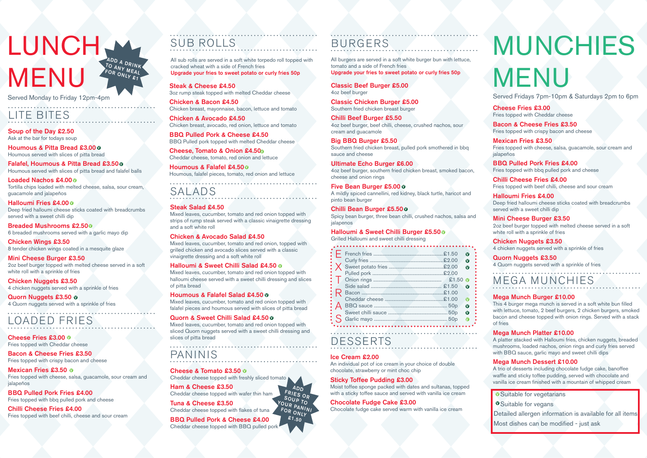### LUNCH, **MENU** ADD A DRINK<br>TO ANV ... INK TO ANY MEAL<br>FOR ONL. EAL FOR ONLY  $\varepsilon_1$

Served Monday to Friday 12pm-4pm

Ham & Cheese £3.50 Cheddar cheese topped with wafer thin ham

Tuna & Cheese £3.50 Cheddar cheese topped with flakes of tuna

#### BBQ Pulled Pork & Cheese £4.00 Cheddar cheese topped with BBQ pulled pork

## PANINIS

#### Cheese & Tomato £3.50 ¢

Cheddar cheese topped with freshly sliced tomato



| £1.50<br>Ø<br>£2.00<br>$\mathbf \Omega$<br>£2.00<br>£2.00                                                    |  |
|--------------------------------------------------------------------------------------------------------------|--|
| $£1.50$ M<br>£1.50<br>M<br>£1.00<br>£1.00<br>50 <sub>p</sub><br>Ø<br>50 <sub>p</sub><br>Ø<br>50 <sub>p</sub> |  |

Cheese Fries £3.00 0 Fries topped with Cheddar cheese

Mexican Fries £3.50 o Fries topped with cheese, salsa, guacamole, sour cream and jalapeños

#### DESSERTS

All burgers are served in a soft white burger bun with lettuce, tomato and a side of French fries

Upgrade your fries to sweet potato or curly fries 50p

## BURGERS

Cheese, Tomato & Onion £4.50 Cheddar cheese, tomato, red onion and lettuce Classic Beef Burger £5.00 4oz beef burger

Houmous & Falafel £4.500 Houmous, falafel pieces, tomato, red onion and lettuce

Classic Chicken Burger £5.00 Southern fried chicken breast burger

Chilli Beef Burger £5.50 4oz beef burger, beef chilli, cheese, crushed nachos, sour cream and guacamole

#### Big BBQ Burger £5.50

Southern fried chicken breast, pulled pork smothered in bbq sauce and cheese

Ultimate Echo Burger £6.00

4oz beef burger, southern fried chicken breast, smoked bacon, cheese and onion rings

#### Five Bean Burger £5.00 ¢

A mildly spiced cannellini, red kidney, black turtle, haricot and pinto bean burger

#### Chilli Bean Burger £5.500

Spicy bean burger, three bean chilli, crushed nachos, salsa and jalapenos

#### Halloumi & Sweet Chilli Burger £5.500

Houmous & Pitta Bread £3.00 0 Houmous served with slices of pitta bread

Grilled Halloumi and sweet chilli dressing

Falafel, Houmous & Pitta Bread £3.500 Houmous served with slices of pitta bread and falafel balls

#### LOADED FRIES

#### Loaded Nachos £4.00 0 Tortilla chips loaded with melted cheese, salsa, sour cream, guacamole and jalapeños

Halloumi Fries £4.00 0 Deep fried halloumi cheese sticks coated with breadcrumbs served with a sweet chilli dip

Bacon & Cheese Fries £3.50 Fries topped with crispy bacon and cheese

Breaded Mushrooms £2.500 6 breaded mushrooms served with a garlic mayo dip

#### Mini Cheese Burger £3.50 2oz beef burger topped with melted cheese served in a soft white roll with a sprinkle of fries

BBQ Pulled Pork Fries £4.00 Fries topped with bbq pulled pork and cheese

Quorn Nuggets £3.50 o 4 Quorn nuggets served with a sprinkle of fries

Chilli Cheese Fries £4.00 Fries topped with beef chilli, cheese and sour cream

Steak & Cheese £4.50 3oz rump steak topped with melted Cheddar cheese

Chicken & Bacon £4.50 Chicken breast, mayonnaise, bacon, lettuce and tomato

> Detailed allergen information is available for all items Most dishes can be modified - just ask

Chicken & Avocado £4.50 Chicken breast, avocado, red onion, lettuce and tomato

BBQ Pulled Pork & Cheese £4.50 BBQ Pulled pork topped with melted Cheddar cheese

## SUB ROLLS

All sub rolls are served in a soft white torpedo roll topped with cracked wheat with a side of French fries Upgrade your fries to sweet potato or curly fries 50p

### SALADS

#### Steak Salad £4.50

Mixed leaves, cucumber, tomato and red onion topped with strips of rump steak served with a classic vinaigrette dressing and a soft white roll

#### Chicken & Avocado Salad £4.50

Mixed leaves, cucumber, tomato and red onion, topped with grilled chicken and avocado slices served with a classic vinaigrette dressing and a soft white roll

#### Halloumi & Sweet Chilli Salad £4.50 0

Mixed leaves, cucumber, tomato and red onion topped with halloumi cheese served with a sweet chilli dressing and slices of pitta bread

#### Houmous & Falafel Salad £4.50 0

Mixed leaves, cucumber, tomato and red onion topped with falafel pieces and houmous served with slices of pitta bread

#### Quorn & Sweet Chilli Salad £4.50 0

Mixed leaves, cucumber, tomato and red onion topped with sliced Quorn nuggets served with a sweet chilli dressing and slices of pitta bread

## LITE BITES

#### Soup of the Day £2.50 Ask at the bar for todays soup

Chicken Wings £3.50 8 tender chicken wings coated in a mesquite glaze

Chicken Nuggets £3.50 4 chicken nuggets served with a sprinkle of fries

#### Ice Cream £2.00

An individual pot of ice cream in your choice of double chocolate, strawberry or mint choc chip

#### Sticky Toffee Pudding £3.00

Moist toffee sponge packed with dates and sultanas, topped with a sticky toffee sauce and served with vanilla ice cream

#### Chocolate Fudge Cake £3.00

Chocolate fudge cake served warm with vanilla ice cream

Cheese Fries £3.00 Fries topped with Cheddar cheese

Bacon & Cheese Fries £3.50 Fries topped with crispy bacon and cheese

Mexican Fries £3.50 Fries topped with cheese, salsa, guacamole, sour cream and jalapeños

BBQ Pulled Pork Fries £4.00 Fries topped with bbq pulled pork and cheese

Chilli Cheese Fries £4.00

Fries topped with beef chilli, cheese and sour cream Halloumi Fries £4.00 Deep fried halloumi cheese sticks coated with breadcrumbs served with a sweet chilli dip

Mini Cheese Burger £3.50 2oz beef burger topped with melted cheese served in a soft white roll with a sprinkle of fries

Chicken Nuggets £3.50 4 chicken nuggets served with a sprinkle of fries

Quorn Nuggets £3.50 4 Quorn nuggets served with a sprinkle of fries

MEGA MUNCHIES

#### Mega Munch Burger £10.00

This 4 burger mega munch is served in a soft white bun filled with lettuce, tomato, 2 beef burgers, 2 chicken burgers, smoked bacon and cheese topped with onion rings. Served with a stack of fries

#### Mega Munch Platter £10.00

A platter stacked with Halloumi fries, chicken nuggets, breaded mushrooms, loaded nachos, onion rings and curly fries served with BBQ sauce, garlic mayo and sweet chilli dips

#### Mega Munch Dessert £10.00

A trio of desserts including chocolate fudge cake, banoffee waffle and sticky toffee pudding, served with chocolate and vanilla ice cream finished with a mountain of whipped cream

**O** Suitable for vegetarians

**O**Suitable for vegans

# MUNCHIES MENU

Served Fridays 7pm-10pm & Saturdays 2pm to 6pm